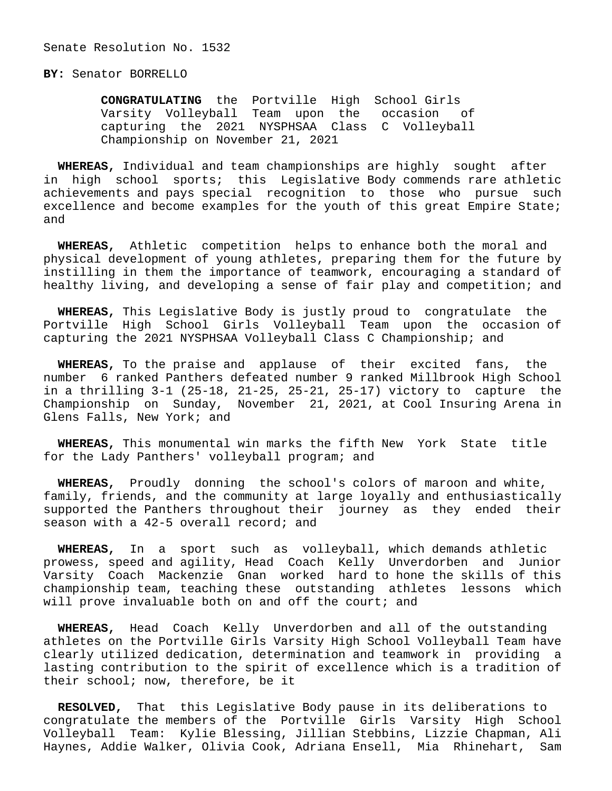## **BY:** Senator BORRELLO

 **CONGRATULATING** the Portville High School Girls Varsity Volleyball Team upon the occasion of capturing the 2021 NYSPHSAA Class C Volleyball Championship on November 21, 2021

 **WHEREAS,** Individual and team championships are highly sought after in high school sports; this Legislative Body commends rare athletic achievements and pays special recognition to those who pursue such excellence and become examples for the youth of this great Empire State; and

 **WHEREAS,** Athletic competition helps to enhance both the moral and physical development of young athletes, preparing them for the future by instilling in them the importance of teamwork, encouraging a standard of healthy living, and developing a sense of fair play and competition; and

 **WHEREAS,** This Legislative Body is justly proud to congratulate the Portville High School Girls Volleyball Team upon the occasion of capturing the 2021 NYSPHSAA Volleyball Class C Championship; and

 **WHEREAS,** To the praise and applause of their excited fans, the number 6 ranked Panthers defeated number 9 ranked Millbrook High School in a thrilling 3-1 (25-18, 21-25, 25-21, 25-17) victory to capture the Championship on Sunday, November 21, 2021, at Cool Insuring Arena in Glens Falls, New York; and

 **WHEREAS,** This monumental win marks the fifth New York State title for the Lady Panthers' volleyball program; and

 **WHEREAS,** Proudly donning the school's colors of maroon and white, family, friends, and the community at large loyally and enthusiastically supported the Panthers throughout their journey as they ended their season with a 42-5 overall record; and

 **WHEREAS,** In a sport such as volleyball, which demands athletic prowess, speed and agility, Head Coach Kelly Unverdorben and Junior Varsity Coach Mackenzie Gnan worked hard to hone the skills of this championship team, teaching these outstanding athletes lessons which will prove invaluable both on and off the court; and

 **WHEREAS,** Head Coach Kelly Unverdorben and all of the outstanding athletes on the Portville Girls Varsity High School Volleyball Team have clearly utilized dedication, determination and teamwork in providing a lasting contribution to the spirit of excellence which is a tradition of their school; now, therefore, be it

 **RESOLVED,** That this Legislative Body pause in its deliberations to congratulate the members of the Portville Girls Varsity High School Volleyball Team: Kylie Blessing, Jillian Stebbins, Lizzie Chapman, Ali Haynes, Addie Walker, Olivia Cook, Adriana Ensell, Mia Rhinehart, Sam